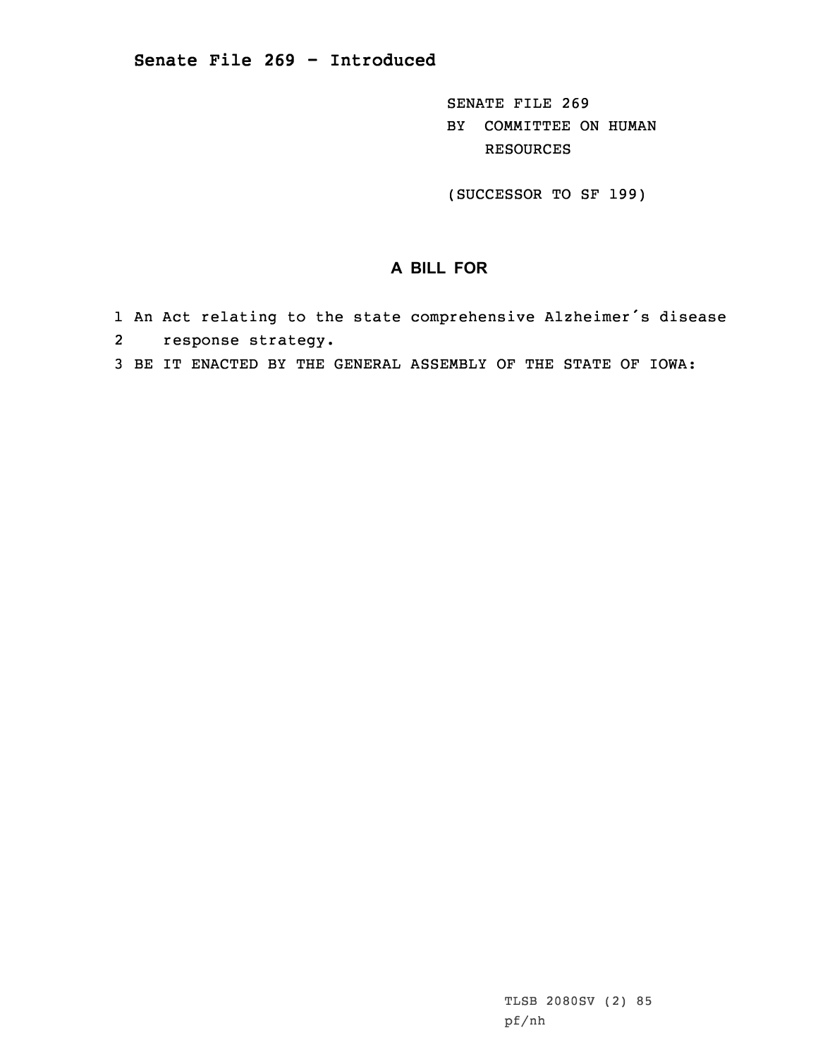SENATE FILE 269 BY COMMITTEE ON HUMAN RESOURCES

(SUCCESSOR TO SF 199)

## **A BILL FOR**

- 1 An Act relating to the state comprehensive Alzheimer's disease
- 2 response strategy.
- 3 BE IT ENACTED BY THE GENERAL ASSEMBLY OF THE STATE OF IOWA: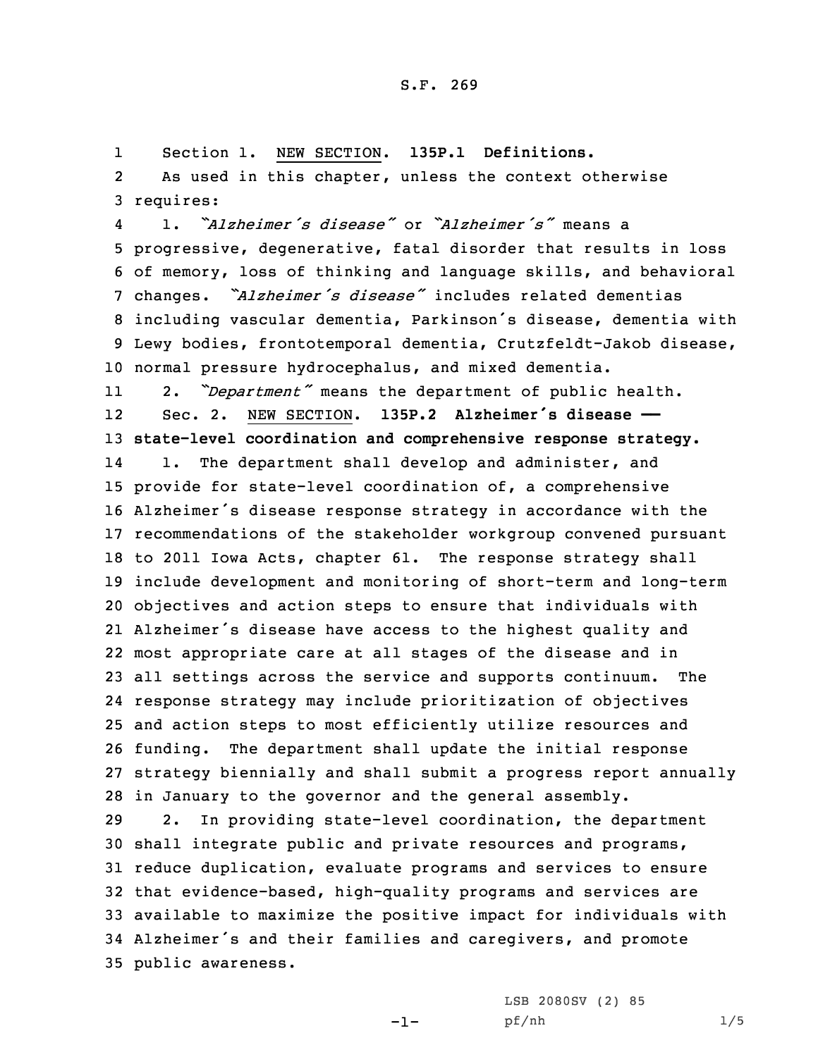1Section 1. NEW SECTION. **135P.1 Definitions.**

2 As used in this chapter, unless the context otherwise 3 requires:

4 1. *"Alzheimer's disease"* or *"Alzheimer's"* means <sup>a</sup> progressive, degenerative, fatal disorder that results in loss of memory, loss of thinking and language skills, and behavioral changes. *"Alzheimer's disease"* includes related dementias including vascular dementia, Parkinson's disease, dementia with Lewy bodies, frontotemporal dementia, Crutzfeldt-Jakob disease, normal pressure hydrocephalus, and mixed dementia.

11 2. *"Department"* means the department of public health. 12 Sec. 2. NEW SECTION. **135P.2 Alzheimer's disease —— state-level coordination and comprehensive response strategy.** 14 1. The department shall develop and administer, and provide for state-level coordination of, <sup>a</sup> comprehensive Alzheimer's disease response strategy in accordance with the recommendations of the stakeholder workgroup convened pursuant to 2011 Iowa Acts, chapter 61. The response strategy shall include development and monitoring of short-term and long-term objectives and action steps to ensure that individuals with Alzheimer's disease have access to the highest quality and most appropriate care at all stages of the disease and in all settings across the service and supports continuum. The response strategy may include prioritization of objectives and action steps to most efficiently utilize resources and funding. The department shall update the initial response strategy biennially and shall submit <sup>a</sup> progress report annually in January to the governor and the general assembly.

 2. In providing state-level coordination, the department shall integrate public and private resources and programs, reduce duplication, evaluate programs and services to ensure that evidence-based, high-quality programs and services are available to maximize the positive impact for individuals with Alzheimer's and their families and caregivers, and promote public awareness.

-1-

LSB 2080SV (2) 85 pf/nh 1/5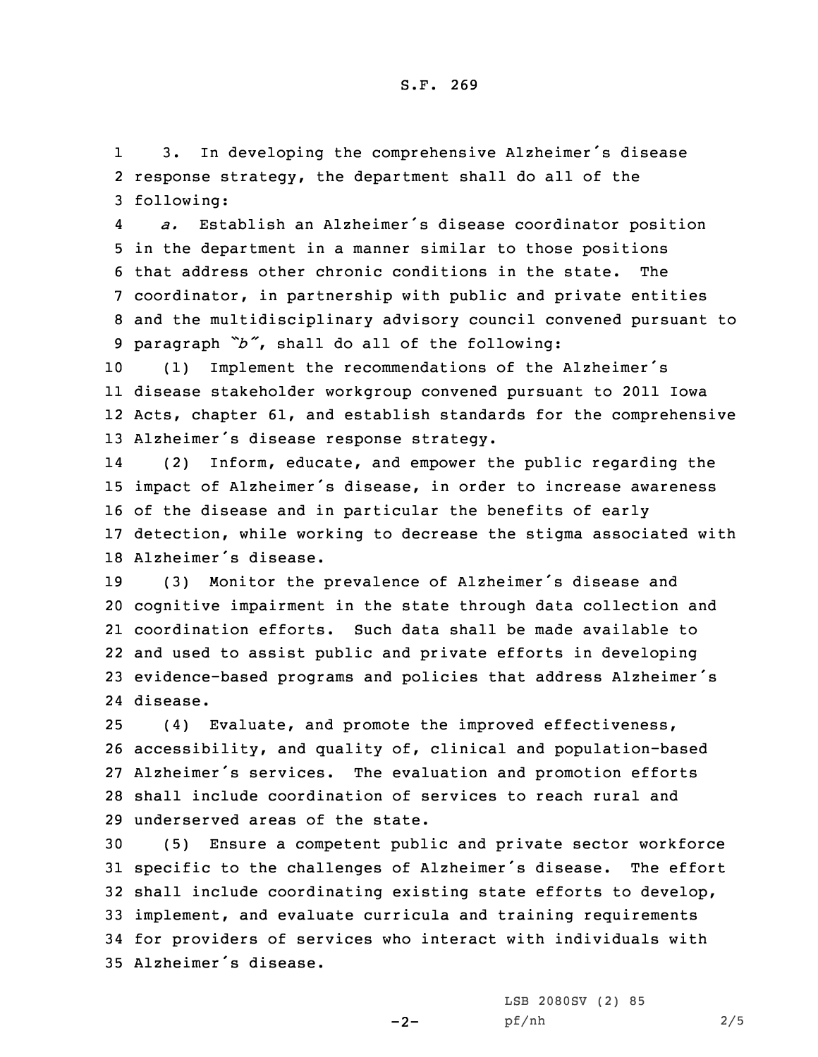1 3. In developing the comprehensive Alzheimer's disease 2 response strategy, the department shall do all of the 3 following:

4 *a.* Establish an Alzheimer's disease coordinator position in the department in <sup>a</sup> manner similar to those positions that address other chronic conditions in the state. The coordinator, in partnership with public and private entities and the multidisciplinary advisory council convened pursuant to paragraph *"b"*, shall do all of the following:

 (1) Implement the recommendations of the Alzheimer's disease stakeholder workgroup convened pursuant to 2011 Iowa Acts, chapter 61, and establish standards for the comprehensive Alzheimer's disease response strategy.

14 (2) Inform, educate, and empower the public regarding the impact of Alzheimer's disease, in order to increase awareness of the disease and in particular the benefits of early detection, while working to decrease the stigma associated with Alzheimer's disease.

 (3) Monitor the prevalence of Alzheimer's disease and cognitive impairment in the state through data collection and coordination efforts. Such data shall be made available to and used to assist public and private efforts in developing evidence-based programs and policies that address Alzheimer's 24 disease.

 (4) Evaluate, and promote the improved effectiveness, accessibility, and quality of, clinical and population-based Alzheimer's services. The evaluation and promotion efforts shall include coordination of services to reach rural and underserved areas of the state.

 (5) Ensure <sup>a</sup> competent public and private sector workforce specific to the challenges of Alzheimer's disease. The effort shall include coordinating existing state efforts to develop, implement, and evaluate curricula and training requirements for providers of services who interact with individuals with Alzheimer's disease.

 $-2-$ 

LSB 2080SV (2) 85 pf/nh 2/5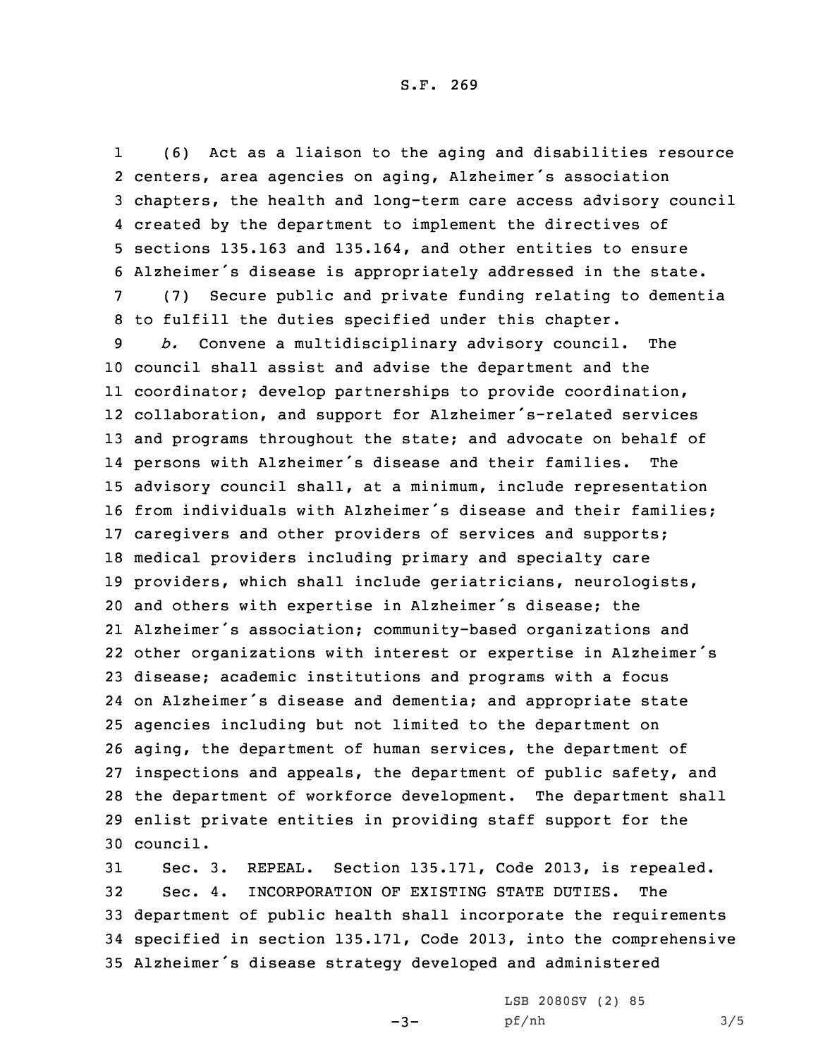S.F. 269

1 (6) Act as <sup>a</sup> liaison to the aging and disabilities resource centers, area agencies on aging, Alzheimer's association chapters, the health and long-term care access advisory council created by the department to implement the directives of sections 135.163 and 135.164, and other entities to ensure Alzheimer's disease is appropriately addressed in the state. (7) Secure public and private funding relating to dementia to fulfill the duties specified under this chapter. *b.* Convene <sup>a</sup> multidisciplinary advisory council. The council shall assist and advise the department and the coordinator; develop partnerships to provide coordination, collaboration, and support for Alzheimer's-related services and programs throughout the state; and advocate on behalf of persons with Alzheimer's disease and their families. The advisory council shall, at <sup>a</sup> minimum, include representation from individuals with Alzheimer's disease and their families; caregivers and other providers of services and supports; medical providers including primary and specialty care providers, which shall include geriatricians, neurologists, and others with expertise in Alzheimer's disease; the Alzheimer's association; community-based organizations and other organizations with interest or expertise in Alzheimer's disease; academic institutions and programs with <sup>a</sup> focus on Alzheimer's disease and dementia; and appropriate state agencies including but not limited to the department on aging, the department of human services, the department of inspections and appeals, the department of public safety, and the department of workforce development. The department shall enlist private entities in providing staff support for the 30 council.

 Sec. 3. REPEAL. Section 135.171, Code 2013, is repealed. Sec. 4. INCORPORATION OF EXISTING STATE DUTIES. The department of public health shall incorporate the requirements specified in section 135.171, Code 2013, into the comprehensive Alzheimer's disease strategy developed and administered

 $-3-$ 

LSB 2080SV (2) 85 pf/nh 3/5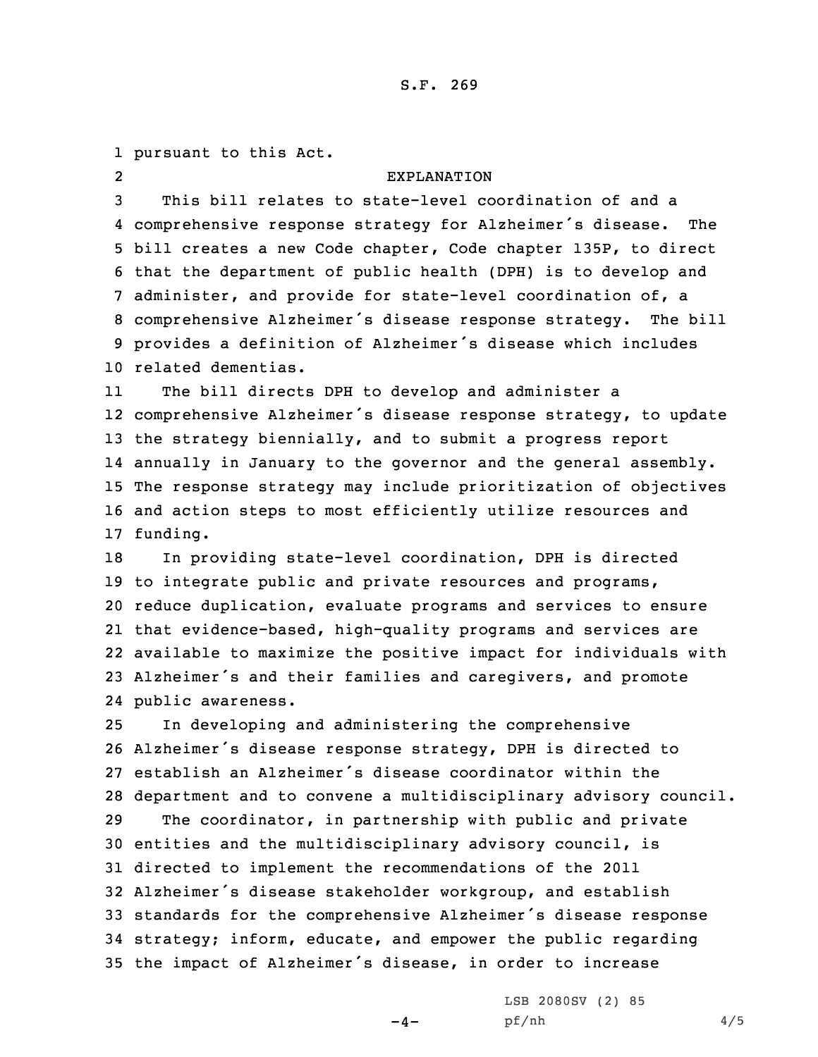## S.F. 269

 pursuant to this Act. 2 EXPLANATION This bill relates to state-level coordination of and <sup>a</sup> comprehensive response strategy for Alzheimer's disease. The bill creates <sup>a</sup> new Code chapter, Code chapter 135P, to direct that the department of public health (DPH) is to develop and administer, and provide for state-level coordination of, <sup>a</sup> comprehensive Alzheimer's disease response strategy. The bill provides <sup>a</sup> definition of Alzheimer's disease which includes related dementias. 11 The bill directs DPH to develop and administer <sup>a</sup> comprehensive Alzheimer's disease response strategy, to update the strategy biennially, and to submit <sup>a</sup> progress report annually in January to the governor and the general assembly. The response strategy may include prioritization of objectives and action steps to most efficiently utilize resources and 17 funding. In providing state-level coordination, DPH is directed to integrate public and private resources and programs, reduce duplication, evaluate programs and services to ensure that evidence-based, high-quality programs and services are available to maximize the positive impact for individuals with Alzheimer's and their families and caregivers, and promote public awareness. In developing and administering the comprehensive Alzheimer's disease response strategy, DPH is directed to establish an Alzheimer's disease coordinator within the department and to convene <sup>a</sup> multidisciplinary advisory council. The coordinator, in partnership with public and private entities and the multidisciplinary advisory council, is directed to implement the recommendations of the 2011 Alzheimer's disease stakeholder workgroup, and establish standards for the comprehensive Alzheimer's disease response strategy; inform, educate, and empower the public regarding

<sup>35</sup> the impact of Alzheimer's disease, in order to increase

 $-4-$ 

LSB 2080SV (2) 85 pf/nh 4/5